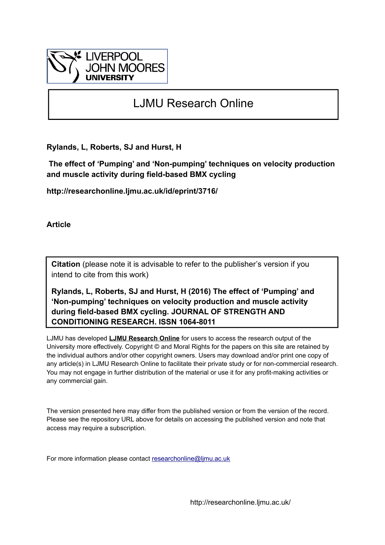

# LJMU Research Online

**Rylands, L, Roberts, SJ and Hurst, H**

 **The effect of 'Pumping' and 'Non-pumping' techniques on velocity production and muscle activity during field-based BMX cycling**

**http://researchonline.ljmu.ac.uk/id/eprint/3716/**

**Article**

**Citation** (please note it is advisable to refer to the publisher's version if you intend to cite from this work)

**Rylands, L, Roberts, SJ and Hurst, H (2016) The effect of 'Pumping' and 'Non-pumping' techniques on velocity production and muscle activity during field-based BMX cycling. JOURNAL OF STRENGTH AND CONDITIONING RESEARCH. ISSN 1064-8011** 

LJMU has developed **[LJMU Research Online](http://researchonline.ljmu.ac.uk/)** for users to access the research output of the University more effectively. Copyright © and Moral Rights for the papers on this site are retained by the individual authors and/or other copyright owners. Users may download and/or print one copy of any article(s) in LJMU Research Online to facilitate their private study or for non-commercial research. You may not engage in further distribution of the material or use it for any profit-making activities or any commercial gain.

The version presented here may differ from the published version or from the version of the record. Please see the repository URL above for details on accessing the published version and note that access may require a subscription.

For more information please contact [researchonline@ljmu.ac.uk](mailto:researchonline@ljmu.ac.uk)

http://researchonline.ljmu.ac.uk/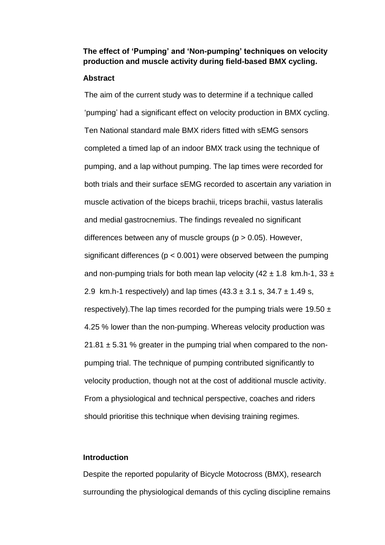# **The effect of 'Pumping' and 'Non-pumping' techniques on velocity production and muscle activity during field-based BMX cycling.**

### **Abstract**

The aim of the current study was to determine if a technique called 'pumping' had a significant effect on velocity production in BMX cycling. Ten National standard male BMX riders fitted with sEMG sensors completed a timed lap of an indoor BMX track using the technique of pumping, and a lap without pumping. The lap times were recorded for both trials and their surface sEMG recorded to ascertain any variation in muscle activation of the biceps brachii, triceps brachii, vastus lateralis and medial gastrocnemius. The findings revealed no significant differences between any of muscle groups (p > 0.05). However, significant differences ( $p < 0.001$ ) were observed between the pumping and non-pumping trials for both mean lap velocity  $(42 \pm 1.8 \text{ km} \cdot \text{h} \cdot 1, 33 \pm \text{m} \cdot \text{m} \cdot \text{m} \cdot \text{m} \cdot \text{m} \cdot \text{m} \cdot \text{m} \cdot \text{m} \cdot \text{m} \cdot \text{m} \cdot \text{m} \cdot \text{m} \cdot \text{m} \cdot \text{m} \cdot \text{m} \cdot \text{m} \cdot \text{m} \cdot \text{m} \cdot \text{m} \cdot \text{m} \$ 2.9 km.h-1 respectively) and lap times  $(43.3 \pm 3.1 \text{ s}, 34.7 \pm 1.49 \text{ s})$ respectively). The lap times recorded for the pumping trials were 19.50  $\pm$ 4.25 % lower than the non-pumping. Whereas velocity production was  $21.81 \pm 5.31$  % greater in the pumping trial when compared to the nonpumping trial. The technique of pumping contributed significantly to velocity production, though not at the cost of additional muscle activity. From a physiological and technical perspective, coaches and riders should prioritise this technique when devising training regimes.

# **Introduction**

Despite the reported popularity of Bicycle Motocross (BMX), research surrounding the physiological demands of this cycling discipline remains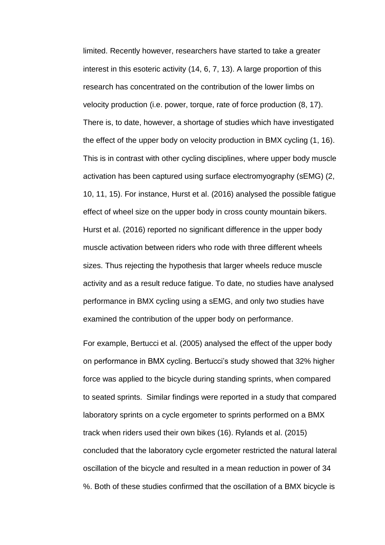limited. Recently however, researchers have started to take a greater interest in this esoteric activity (14, 6, 7, 13). A large proportion of this research has concentrated on the contribution of the lower limbs on velocity production (i.e. power, torque, rate of force production (8, 17). There is, to date, however, a shortage of studies which have investigated the effect of the upper body on velocity production in BMX cycling (1, 16). This is in contrast with other cycling disciplines, where upper body muscle activation has been captured using surface electromyography (sEMG) (2, 10, 11, 15). For instance, Hurst et al. (2016) analysed the possible fatigue effect of wheel size on the upper body in cross county mountain bikers. Hurst et al. (2016) reported no significant difference in the upper body muscle activation between riders who rode with three different wheels sizes. Thus rejecting the hypothesis that larger wheels reduce muscle activity and as a result reduce fatigue. To date, no studies have analysed performance in BMX cycling using a sEMG, and only two studies have examined the contribution of the upper body on performance.

For example, Bertucci et al. (2005) analysed the effect of the upper body on performance in BMX cycling. Bertucci's study showed that 32% higher force was applied to the bicycle during standing sprints, when compared to seated sprints. Similar findings were reported in a study that compared laboratory sprints on a cycle ergometer to sprints performed on a BMX track when riders used their own bikes (16). Rylands et al. (2015) concluded that the laboratory cycle ergometer restricted the natural lateral oscillation of the bicycle and resulted in a mean reduction in power of 34 %. Both of these studies confirmed that the oscillation of a BMX bicycle is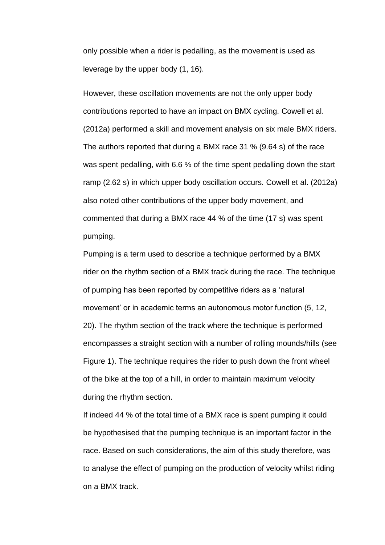only possible when a rider is pedalling, as the movement is used as leverage by the upper body (1, 16).

However, these oscillation movements are not the only upper body contributions reported to have an impact on BMX cycling. Cowell et al. (2012a) performed a skill and movement analysis on six male BMX riders. The authors reported that during a BMX race 31 % (9.64 s) of the race was spent pedalling, with 6.6 % of the time spent pedalling down the start ramp (2.62 s) in which upper body oscillation occurs. Cowell et al. (2012a) also noted other contributions of the upper body movement, and commented that during a BMX race 44 % of the time (17 s) was spent pumping.

Pumping is a term used to describe a technique performed by a BMX rider on the rhythm section of a BMX track during the race. The technique of pumping has been reported by competitive riders as a 'natural movement' or in academic terms an autonomous motor function (5, 12, 20). The rhythm section of the track where the technique is performed encompasses a straight section with a number of rolling mounds/hills (see Figure 1). The technique requires the rider to push down the front wheel of the bike at the top of a hill, in order to maintain maximum velocity during the rhythm section.

If indeed 44 % of the total time of a BMX race is spent pumping it could be hypothesised that the pumping technique is an important factor in the race. Based on such considerations, the aim of this study therefore, was to analyse the effect of pumping on the production of velocity whilst riding on a BMX track.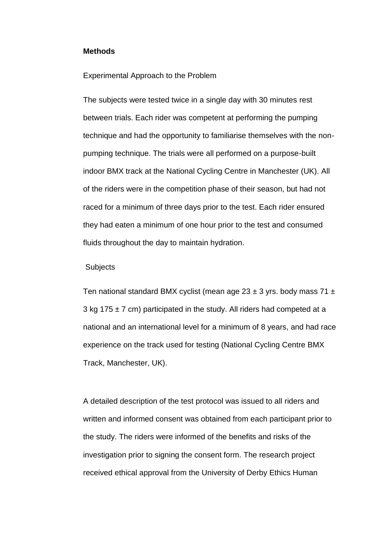#### **Methods**

#### Experimental Approach to the Problem

The subjects were tested twice in a single day with 30 minutes rest between trials. Each rider was competent at performing the pumping technique and had the opportunity to familiarise themselves with the nonpumping technique. The trials were all performed on a purpose-built indoor BMX track at the National Cycling Centre in Manchester (UK). All of the riders were in the competition phase of their season, but had not raced for a minimum of three days prior to the test. Each rider ensured they had eaten a minimum of one hour prior to the test and consumed fluids throughout the day to maintain hydration.

#### **Subjects**

Ten national standard BMX cyclist (mean age  $23 \pm 3$  yrs. body mass  $71 \pm 1$ 3 kg 175  $\pm$  7 cm) participated in the study. All riders had competed at a national and an international level for a minimum of 8 years, and had race experience on the track used for testing (National Cycling Centre BMX Track, Manchester, UK).

A detailed description of the test protocol was issued to all riders and written and informed consent was obtained from each participant prior to the study. The riders were informed of the benefits and risks of the investigation prior to signing the consent form. The research project received ethical approval from the University of Derby Ethics Human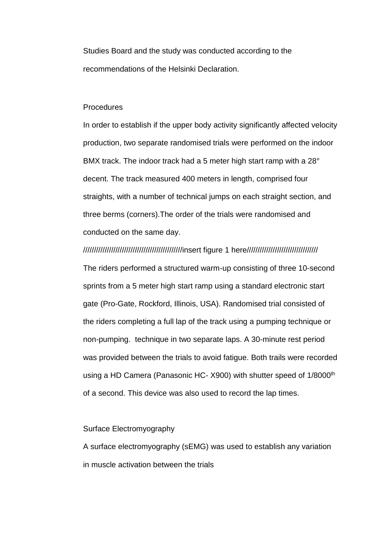Studies Board and the study was conducted according to the recommendations of the Helsinki Declaration.

#### Procedures

In order to establish if the upper body activity significantly affected velocity production, two separate randomised trials were performed on the indoor BMX track. The indoor track had a 5 meter high start ramp with a 28° decent. The track measured 400 meters in length, comprised four straights, with a number of technical jumps on each straight section, and three berms (corners).The order of the trials were randomised and conducted on the same day.

#### //////////////////////////////////////////////insert figure 1 here/////////////////////////////////

The riders performed a structured warm-up consisting of three 10-second sprints from a 5 meter high start ramp using a standard electronic start gate (Pro-Gate, Rockford, Illinois, USA). Randomised trial consisted of the riders completing a full lap of the track using a pumping technique or non-pumping. technique in two separate laps. A 30-minute rest period was provided between the trials to avoid fatigue. Both trails were recorded using a HD Camera (Panasonic HC- X900) with shutter speed of 1/8000<sup>th</sup> of a second. This device was also used to record the lap times.

# Surface Electromyography

A surface electromyography (sEMG) was used to establish any variation in muscle activation between the trials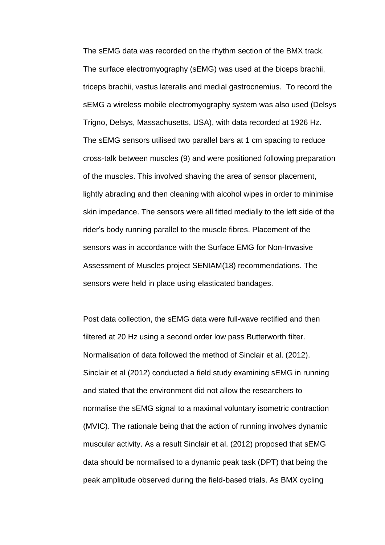The sEMG data was recorded on the rhythm section of the BMX track. The surface electromyography (sEMG) was used at the biceps brachii, triceps brachii, vastus lateralis and medial gastrocnemius. To record the sEMG a wireless mobile electromyography system was also used (Delsys Trigno, Delsys, Massachusetts, USA), with data recorded at 1926 Hz. The sEMG sensors utilised two parallel bars at 1 cm spacing to reduce cross-talk between muscles (9) and were positioned following preparation of the muscles. This involved shaving the area of sensor placement, lightly abrading and then cleaning with alcohol wipes in order to minimise skin impedance. The sensors were all fitted medially to the left side of the rider's body running parallel to the muscle fibres. Placement of the sensors was in accordance with the Surface EMG for Non-Invasive Assessment of Muscles project SENIAM(18) recommendations. The sensors were held in place using elasticated bandages.

Post data collection, the sEMG data were full-wave rectified and then filtered at 20 Hz using a second order low pass Butterworth filter. Normalisation of data followed the method of Sinclair et al. (2012). Sinclair et al (2012) conducted a field study examining sEMG in running and stated that the environment did not allow the researchers to normalise the sEMG signal to a maximal voluntary isometric contraction (MVIC). The rationale being that the action of running involves dynamic muscular activity. As a result Sinclair et al. (2012) proposed that sEMG data should be normalised to a dynamic peak task (DPT) that being the peak amplitude observed during the field-based trials. As BMX cycling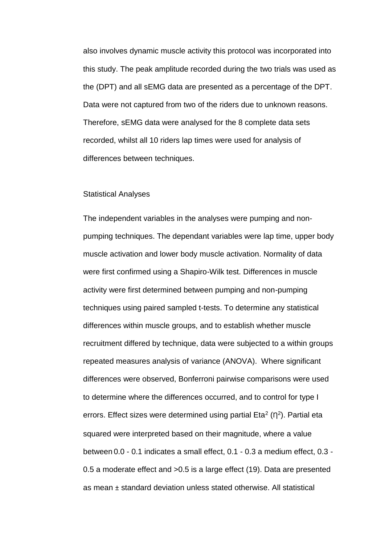also involves dynamic muscle activity this protocol was incorporated into this study. The peak amplitude recorded during the two trials was used as the (DPT) and all sEMG data are presented as a percentage of the DPT. Data were not captured from two of the riders due to unknown reasons. Therefore, sEMG data were analysed for the 8 complete data sets recorded, whilst all 10 riders lap times were used for analysis of differences between techniques.

#### Statistical Analyses

The independent variables in the analyses were pumping and nonpumping techniques. The dependant variables were lap time, upper body muscle activation and lower body muscle activation. Normality of data were first confirmed using a Shapiro-Wilk test. Differences in muscle activity were first determined between pumping and non-pumping techniques using paired sampled t-tests. To determine any statistical differences within muscle groups, and to establish whether muscle recruitment differed by technique, data were subjected to a within groups repeated measures analysis of variance (ANOVA). Where significant differences were observed, Bonferroni pairwise comparisons were used to determine where the differences occurred, and to control for type I errors. Effect sizes were determined using partial Eta<sup>2</sup> ( $\eta^2$ ). Partial eta squared were interpreted based on their magnitude, where a value between 0.0 - 0.1 indicates a small effect, 0.1 - 0.3 a medium effect, 0.3 - 0.5 a moderate effect and >0.5 is a large effect (19). Data are presented as mean ± standard deviation unless stated otherwise. All statistical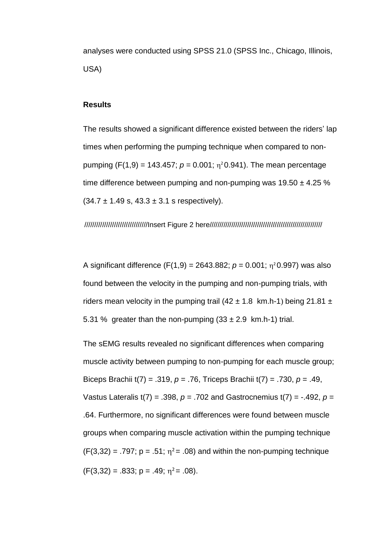analyses were conducted using SPSS 21.0 (SPSS Inc., Chicago, Illinois, USA)

# **Results**

The results showed a significant difference existed between the riders' lap times when performing the pumping technique when compared to nonpumping  $(F(1, 9) = 143.457; p = 0.001; \eta^2 0.941)$ . The mean percentage time difference between pumping and non-pumping was  $19.50 \pm 4.25$  %  $(34.7 \pm 1.49 \text{ s}, 43.3 \pm 3.1 \text{ s respectively}).$ 

////////////////////////////////Insert Figure 2 here/////////////////////////////////////////////////////////

A significant difference  $(F(1,9) = 2643.882; p = 0.001; \eta^2 0.997)$  was also found between the velocity in the pumping and non-pumping trials, with riders mean velocity in the pumping trail  $(42 \pm 1.8 \text{ km.h-1})$  being 21.81  $\pm$ 5.31 % greater than the non-pumping  $(33 \pm 2.9 \text{ km.h-1})$  trial.

The sEMG results revealed no significant differences when comparing muscle activity between pumping to non-pumping for each muscle group; Biceps Brachii t(7) = .319, *p* = .76, Triceps Brachii t(7) = .730, *p* = .49, Vastus Lateralis t(7) = .398, *p* = .702 and Gastrocnemius t(7) = -.492, *p* = .64. Furthermore, no significant differences were found between muscle groups when comparing muscle activation within the pumping technique  $(F(3,32) = .797; p = .51; \eta^2 = .08)$  and within the non-pumping technique  $(F(3,32) = .833; p = .49; \eta^2 = .08).$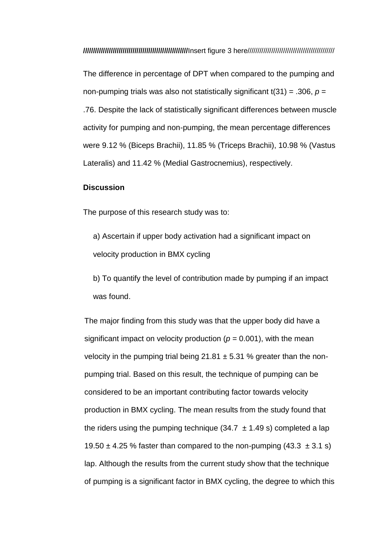**/////////////////////////////////////////////////////**Insert figure 3 here////////////////////////////////////////////

The difference in percentage of DPT when compared to the pumping and non-pumping trials was also not statistically significant t(31) = .306, *p* = .76. Despite the lack of statistically significant differences between muscle activity for pumping and non-pumping, the mean percentage differences were 9.12 % (Biceps Brachii), 11.85 % (Triceps Brachii), 10.98 % (Vastus Lateralis) and 11.42 % (Medial Gastrocnemius), respectively.

## **Discussion**

The purpose of this research study was to:

a) Ascertain if upper body activation had a significant impact on velocity production in BMX cycling

b) To quantify the level of contribution made by pumping if an impact was found.

The major finding from this study was that the upper body did have a significant impact on velocity production ( $p = 0.001$ ), with the mean velocity in the pumping trial being  $21.81 \pm 5.31$  % greater than the nonpumping trial. Based on this result, the technique of pumping can be considered to be an important contributing factor towards velocity production in BMX cycling. The mean results from the study found that the riders using the pumping technique (34.7  $\pm$  1.49 s) completed a lap 19.50  $\pm$  4.25 % faster than compared to the non-pumping (43.3  $\pm$  3.1 s) lap. Although the results from the current study show that the technique of pumping is a significant factor in BMX cycling, the degree to which this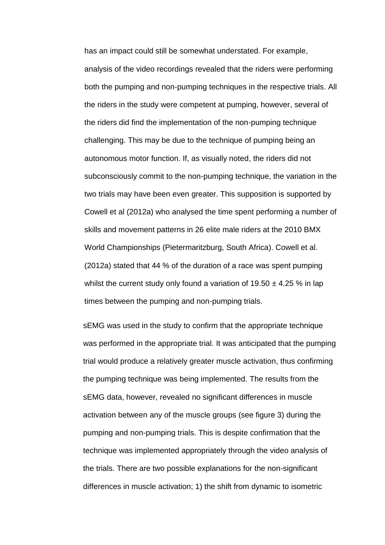has an impact could still be somewhat understated. For example, analysis of the video recordings revealed that the riders were performing both the pumping and non-pumping techniques in the respective trials. All the riders in the study were competent at pumping, however, several of the riders did find the implementation of the non-pumping technique challenging. This may be due to the technique of pumping being an autonomous motor function. If, as visually noted, the riders did not subconsciously commit to the non-pumping technique, the variation in the two trials may have been even greater. This supposition is supported by Cowell et al (2012a) who analysed the time spent performing a number of skills and movement patterns in 26 elite male riders at the 2010 BMX World Championships (Pietermaritzburg, South Africa). Cowell et al. (2012a) stated that 44 % of the duration of a race was spent pumping whilst the current study only found a variation of  $19.50 \pm 4.25$  % in lap times between the pumping and non-pumping trials.

sEMG was used in the study to confirm that the appropriate technique was performed in the appropriate trial. It was anticipated that the pumping trial would produce a relatively greater muscle activation, thus confirming the pumping technique was being implemented. The results from the sEMG data, however, revealed no significant differences in muscle activation between any of the muscle groups (see figure 3) during the pumping and non-pumping trials. This is despite confirmation that the technique was implemented appropriately through the video analysis of the trials. There are two possible explanations for the non-significant differences in muscle activation; 1) the shift from dynamic to isometric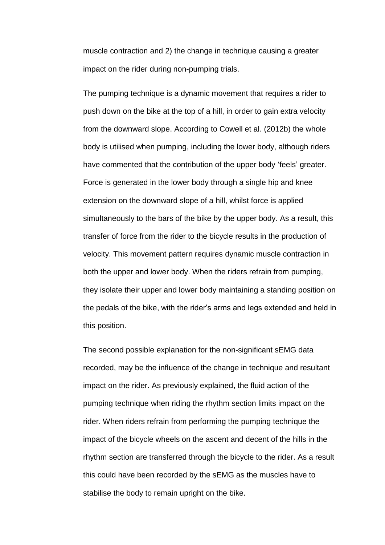muscle contraction and 2) the change in technique causing a greater impact on the rider during non-pumping trials.

The pumping technique is a dynamic movement that requires a rider to push down on the bike at the top of a hill, in order to gain extra velocity from the downward slope. According to Cowell et al. (2012b) the whole body is utilised when pumping, including the lower body, although riders have commented that the contribution of the upper body 'feels' greater. Force is generated in the lower body through a single hip and knee extension on the downward slope of a hill, whilst force is applied simultaneously to the bars of the bike by the upper body. As a result, this transfer of force from the rider to the bicycle results in the production of velocity. This movement pattern requires dynamic muscle contraction in both the upper and lower body. When the riders refrain from pumping, they isolate their upper and lower body maintaining a standing position on the pedals of the bike, with the rider's arms and legs extended and held in this position.

The second possible explanation for the non-significant sEMG data recorded, may be the influence of the change in technique and resultant impact on the rider. As previously explained, the fluid action of the pumping technique when riding the rhythm section limits impact on the rider. When riders refrain from performing the pumping technique the impact of the bicycle wheels on the ascent and decent of the hills in the rhythm section are transferred through the bicycle to the rider. As a result this could have been recorded by the sEMG as the muscles have to stabilise the body to remain upright on the bike.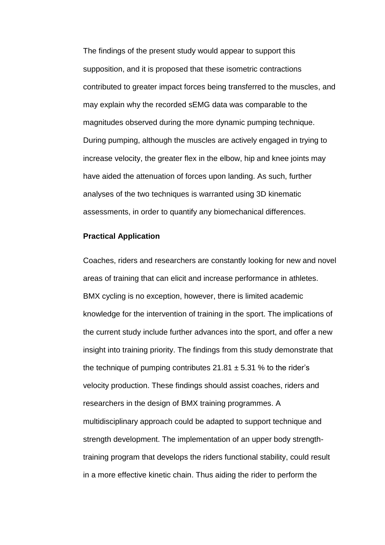The findings of the present study would appear to support this supposition, and it is proposed that these isometric contractions contributed to greater impact forces being transferred to the muscles, and may explain why the recorded sEMG data was comparable to the magnitudes observed during the more dynamic pumping technique. During pumping, although the muscles are actively engaged in trying to increase velocity, the greater flex in the elbow, hip and knee joints may have aided the attenuation of forces upon landing. As such, further analyses of the two techniques is warranted using 3D kinematic assessments, in order to quantify any biomechanical differences.

#### **Practical Application**

Coaches, riders and researchers are constantly looking for new and novel areas of training that can elicit and increase performance in athletes. BMX cycling is no exception, however, there is limited academic knowledge for the intervention of training in the sport. The implications of the current study include further advances into the sport, and offer a new insight into training priority. The findings from this study demonstrate that the technique of pumping contributes  $21.81 \pm 5.31$  % to the rider's velocity production. These findings should assist coaches, riders and researchers in the design of BMX training programmes. A multidisciplinary approach could be adapted to support technique and strength development. The implementation of an upper body strengthtraining program that develops the riders functional stability, could result in a more effective kinetic chain. Thus aiding the rider to perform the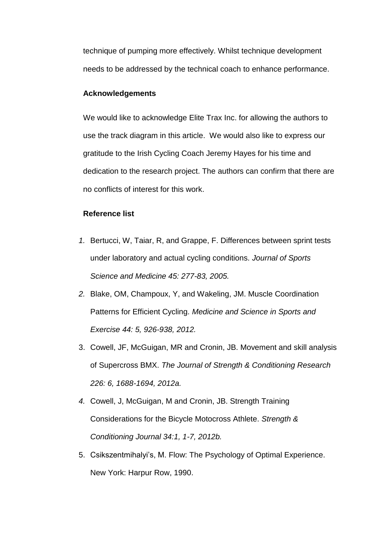technique of pumping more effectively. Whilst technique development needs to be addressed by the technical coach to enhance performance.

# **Acknowledgements**

We would like to acknowledge Elite Trax Inc. for allowing the authors to use the track diagram in this article. We would also like to express our gratitude to the Irish Cycling Coach Jeremy Hayes for his time and dedication to the research project. The authors can confirm that there are no conflicts of interest for this work.

# **Reference list**

- *1.* Bertucci, W, Taiar, R, and Grappe, F. Differences between sprint tests under laboratory and actual cycling conditions. *Journal of Sports Science and Medicine 45: 277-83, 2005.*
- *2.* Blake, OM, Champoux, Y, and Wakeling, JM. Muscle Coordination Patterns for Efficient Cycling. *Medicine and Science in Sports and Exercise 44: 5, 926-938, 2012.*
- 3. Cowell, JF, McGuigan, MR and Cronin, JB. Movement and skill analysis of Supercross BMX. *The Journal of Strength & Conditioning Research 226: 6, 1688-1694, 2012a.*
- *4.* Cowell, J, McGuigan, M and Cronin, JB. Strength Training Considerations for the Bicycle Motocross Athlete. *Strength & Conditioning Journal 34:1, 1-7, 2012b.*
- 5. Csikszentmihalyi's, M. Flow: The Psychology of Optimal Experience. New York: Harpur Row, 1990.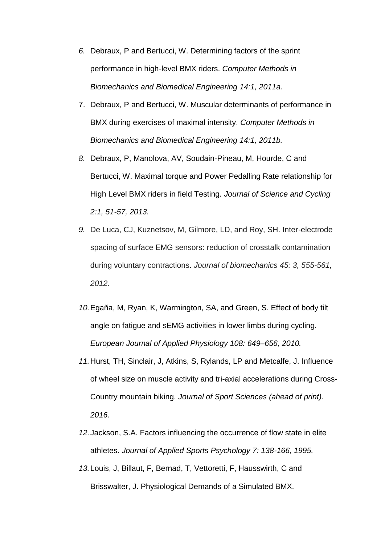- *6.* Debraux, P and Bertucci, W. Determining factors of the sprint performance in high-level BMX riders. *Computer Methods in Biomechanics and Biomedical Engineering 14:1, 2011a.*
- 7. Debraux, P and Bertucci, W. Muscular determinants of performance in BMX during exercises of maximal intensity. *Computer Methods in Biomechanics and Biomedical Engineering 14:1, 2011b.*
- *8.* Debraux, P, Manolova, AV, Soudain-Pineau, M, Hourde, C and Bertucci, W. Maximal torque and Power Pedalling Rate relationship for High Level BMX riders in field Testing. *Journal of Science and Cycling 2:1, 51-57, 2013.*
- *9.* De Luca, CJ, Kuznetsov, M, Gilmore, LD, and Roy, SH. Inter-electrode spacing of surface EMG sensors: reduction of crosstalk contamination during voluntary contractions. *Journal of biomechanics 45: 3, 555-561, 2012.*
- *10.*Egaña, M, Ryan, K, Warmington, SA, and Green, S. Effect of body tilt angle on fatigue and sEMG activities in lower limbs during cycling. *European Journal of Applied Physiology 108: 649–656, 2010.*
- *11.*Hurst, TH, Sinclair, J, Atkins, S, Rylands, LP and Metcalfe, J. Influence of wheel size on muscle activity and tri-axial accelerations during Cross-Country mountain biking. *Journal of Sport Sciences (ahead of print). 2016.*
- *12.*Jackson, S.A. Factors influencing the occurrence of flow state in elite athletes. *Journal of Applied Sports Psychology 7: 138-166, 1995.*
- *13.*Louis, J, Billaut, F, Bernad, T, Vettoretti, F, Hausswirth, C and Brisswalter, J. Physiological Demands of a Simulated BMX.